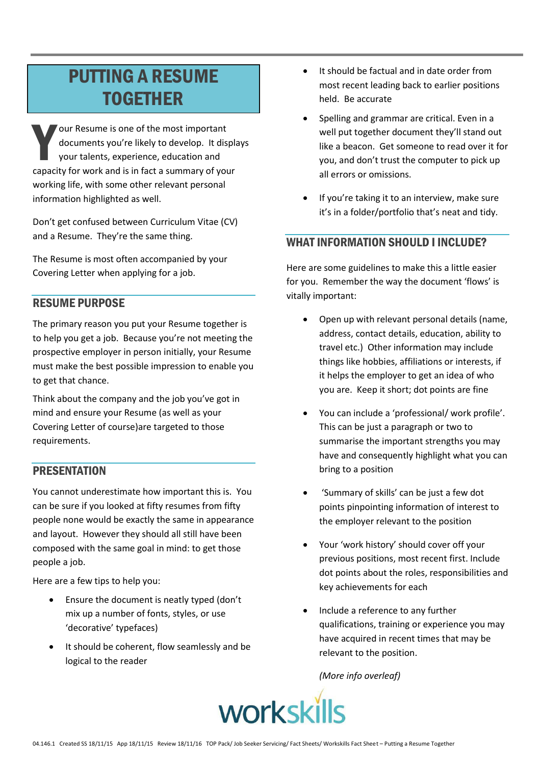# **PUTTING A RESUME TOGETHER**

our Resume is one of the most important documents you're likely to develop. It displays your talents, experience, education and capacity for work and is in fact a summary of your working life, with some other relevant personal information highlighted as well.

Don't get confused between Curriculum Vitae (CV) and a Resume. They're the same thing.

The Resume is most often accompanied by your Covering Letter when applying for a job.

## **RESUME PURPOSE**

The primary reason you put your Resume together is to help you get a job. Because you're not meeting the prospective employer in person initially, your Resume must make the best possible impression to enable you to get that chance.

Think about the company and the job you've got in mind and ensure your Resume (as well as your Covering Letter of course) are targeted to those requirements.

### **PRESENTATION**

You cannot underestimate how important this is. You can be sure if you looked at fifty resumes from fifty people none would be exactly the same in appearance and layout. However they should all still have been composed with the same goal in mind: to get those people a job.

Here are a few tips to help you:

- Ensure the document is neatly typed (don't mix up a number of fonts, styles, or use 'decorative' typefaces)
- It should be coherent, flow seamlessly and be logical to the reader
- It should be factual and in date order from  $\bullet$ most recent leading back to earlier positions held. Be accurate
- Spelling and grammar are critical. Even in a well put together document they'll stand out like a beacon. Get someone to read over it for you, and don't trust the computer to pick up all errors or omissions.
- If you're taking it to an interview, make sure it's in a folder/portfolio that's neat and tidy.

## **WHAT INFORMATION SHOULD I INCLUDE?**

Here are some guidelines to make this a little easier for you. Remember the way the document 'flows' is vitally important:

- Open up with relevant personal details (name, address, contact details, education, ability to travel etc.) Other information may include things like hobbies, affiliations or interests, if it helps the employer to get an idea of who you are. Keep it short; dot points are fine
- You can include a 'professional/ work profile'. This can be just a paragraph or two to summarise the important strengths you may have and consequently highlight what you can bring to a position
- 'Summary of skills' can be just a few dot points pinpointing information of interest to the employer relevant to the position
- Your 'work history' should cover off your previous positions, most recent first. Include dot points about the roles, responsibilities and key achievements for each
- Include a reference to any further qualifications, training or experience you may have acquired in recent times that may be relevant to the position.

(More info overleaf)